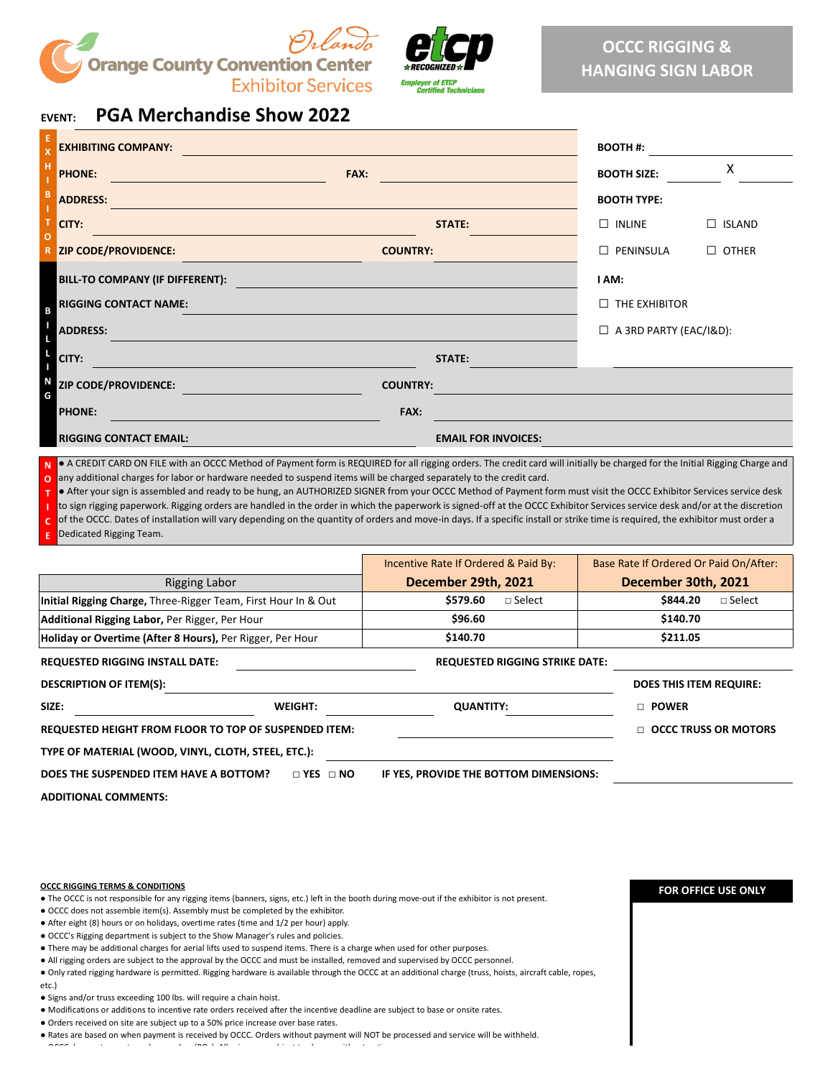



## **EVENT: PGA Merchandise Show 2022**

| -H                                                                   |                               |  |  |  |
|----------------------------------------------------------------------|-------------------------------|--|--|--|
| <b>PHONE:</b><br>FAX:<br><b>BOOTH SIZE:</b>                          | X                             |  |  |  |
| - B<br><b>ADDRESS:</b><br><b>BOOTH TYPE:</b>                         |                               |  |  |  |
| $\top$<br>CITY:<br><b>STATE:</b><br>$\Box$ INLINE<br>$\circ$         | $\Box$ ISLAND                 |  |  |  |
| <b>R</b> ZIP CODE/PROVIDENCE:<br>$\Box$ PENINSULA<br><b>COUNTRY:</b> | $\Box$ OTHER                  |  |  |  |
| <b>BILL-TO COMPANY (IF DIFFERENT):</b><br>I AM:                      |                               |  |  |  |
| <b>RIGGING CONTACT NAME:</b>                                         | $\Box$ THE EXHIBITOR          |  |  |  |
| <b>ADDRESS:</b>                                                      | $\Box$ A 3RD PARTY (EAC/I&D): |  |  |  |
| CITY:<br><b>STATE:</b>                                               |                               |  |  |  |
| ZIP CODE/PROVIDENCE:<br><b>COUNTRY:</b>                              |                               |  |  |  |
| <b>PHONE:</b><br>FAX:                                                |                               |  |  |  |
| <b>EMAIL FOR INVOICES:</b><br><b>RIGGING CONTACT EMAIL:</b>          |                               |  |  |  |

**N O** ● A CREDIT CARD ON FILE with an OCCC Method of Payment form is REQUIRED for all rigging orders. The credit card will initially be charged for the Initial Rigging Charge and any additional charges for labor or hardware needed to suspend items will be charged separately to the credit card.

**T** ● After your sign is assembled and ready to be hung, an AUTHORIZED SIGNER from your OCCC Method of Payment form must visit the OCCC Exhibitor Services service desk

**I** to sign rigging paperwork. Rigging orders are handled in the order in which the paperwork is signed-off at the OCCC Exhibitor Services service desk and/or at the discretion

**C E** of the OCCC. Dates of installation will vary depending on the quantity of orders and move-in days. If a specific install or strike time is required, the exhibitor must order a Dedicated Rigging Team.

|                                                                | Incentive Rate If Ordered & Paid By:  | Base Rate If Ordered Or Paid On/After: |
|----------------------------------------------------------------|---------------------------------------|----------------------------------------|
| Rigging Labor                                                  | December 29th, 2021                   | December 30th, 2021                    |
| Initial Rigging Charge, Three-Rigger Team, First Hour In & Out | \$579.60<br>$\Box$ Select             | \$844.20<br>$\Box$ Select              |
| Additional Rigging Labor, Per Rigger, Per Hour                 | \$96.60                               | \$140.70                               |
| Holiday or Overtime (After 8 Hours), Per Rigger, Per Hour      | \$140.70                              | \$211.05                               |
| <b>REQUESTED RIGGING INSTALL DATE:</b>                         | <b>REQUESTED RIGGING STRIKE DATE:</b> |                                        |
|                                                                |                                       |                                        |
| <b>DESCRIPTION OF ITEM(S):</b>                                 |                                       | <b>DOES THIS ITEM REQUIRE:</b>         |
| SIZE:<br><b>WEIGHT:</b>                                        | <b>QUANTITY:</b>                      | D POWER                                |
| <b>REQUESTED HEIGHT FROM FLOOR TO TOP OF SUSPENDED ITEM:</b>   |                                       | $\Box$ OCCC TRUSS OR MOTORS            |
| TYPE OF MATERIAL (WOOD, VINYL, CLOTH, STEEL, ETC.):            |                                       |                                        |

**ADDITIONAL COMMENTS:**

#### **OCCC RIGGING TERMS & CONDITIONS**

● The OCCC is not responsible for any rigging items (banners, signs, etc.) left in the booth during move-out if the exhibitor is not present.

● OCCC does not assemble item(s). Assembly must be completed by the exhibitor.

● After eight (8) hours or on holidays, overtime rates (time and 1/2 per hour) apply.

● OCCC's Rigging department is subject to the Show Manager's rules and policies.

- There may be additional charges for aerial lifts used to suspend items. There is a charge when used for other purposes.
- All rigging orders are subject to the approval by the OCCC and must be installed, removed and supervised by OCCC personnel.

● Only rated rigging hardware is permitted. Rigging hardware is available through the OCCC at an additional charge (truss, hoists, aircraft cable, ropes,

etc.)

● Signs and/or truss exceeding 100 lbs. will require a chain hoist.

● Modifications or additions to incentive rate orders received after the incentive deadline are subject to base or onsite rates.

● Orders received on site are subject up to a 50% price increase over base rates.

OCCC d t t h d (PO ) All i bj t t h ith t ti

● Rates are based on when payment is received by OCCC. Orders without payment will NOT be processed and service will be withheld.

### **FOR OFFICE USE ONLY**